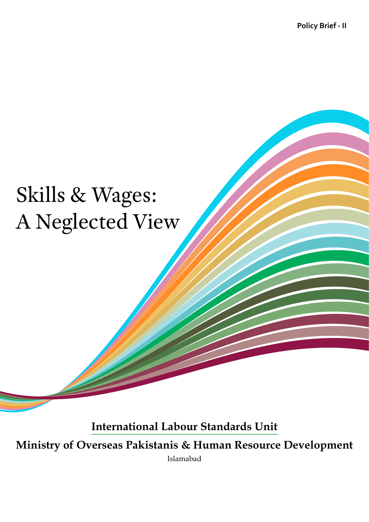**Policy Brief - II**

## Skills & Wages: A Neglected View

**International Labour Standards Unit**

**Ministry of Overseas Pakistanis & Human Resource Development**

Islamabad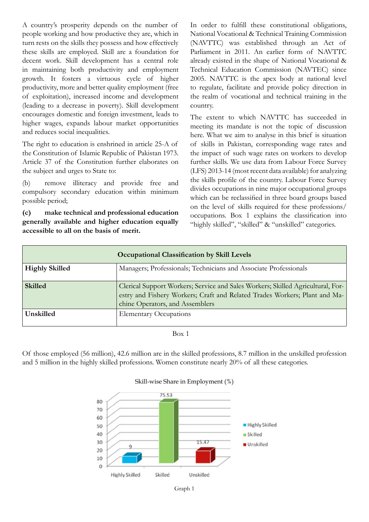A country's prosperity depends on the number of people working and how productive they are, which in turn rests on the skills they possess and how effectively these skills are employed. Skill are a foundation for decent work. Skill development has a central role in maintaining both productivity and employment growth. It fosters a virtuous cycle of higher productivity, more and better quality employment (free of exploitation), increased income and development (leading to a decrease in poverty). Skill development encourages domestic and foreign investment, leads to higher wages, expands labour market opportunities and reduces social inequalities.

The right to education is enshrined in article 25-A of the Constitution of Islamic Republic of Pakistan 1973. Article 37 of the Constitution further elaborates on the subject and urges to State to:

(b) remove illiteracy and provide free and compulsory secondary education within minimum possible period;

**(c) make technical and professional education generally available and higher education equally accessible to all on the basis of merit.**

In order to fulfill these constitutional obligations, National Vocational & Technical Training Commission (NAVTTC) was established through an Act of Parliament in 2011. An earlier form of NAVTTC already existed in the shape of National Vocational & Technical Education Commission (NAVTEC) since 2005. NAVTTC is the apex body at national level to regulate, facilitate and provide policy direction in the realm of vocational and technical training in the country.

The extent to which NAVTTC has succeeded in meeting its mandate is not the topic of discussion here. What we aim to analyse in this brief is situation of skills in Pakistan, corresponding wage rates and the impact of such wage rates on workers to develop further skills. We use data from Labour Force Survey (LFS) 2013-14 (most recent data available) for analyzing the skills profile of the country. Labour Force Survey divides occupations in nine major occupational groups which can be reclassified in three board groups based on the level of skills required for these professions/ occupations. Box 1 explains the classification into "highly skilled", "skilled" & "unskilled" categories.

| <b>Occupational Classification by Skill Levels</b> |                                                                                                                                                                                                  |
|----------------------------------------------------|--------------------------------------------------------------------------------------------------------------------------------------------------------------------------------------------------|
| <b>Highly Skilled</b>                              | Managers; Professionals; Technicians and Associate Professionals                                                                                                                                 |
| <b>Skilled</b>                                     | Clerical Support Workers; Service and Sales Workers; Skilled Agricultural, For-<br>estry and Fishery Workers; Craft and Related Trades Workers; Plant and Ma-<br>chine Operators, and Assemblers |
| Unskilled                                          | <b>Elementary Occupations</b>                                                                                                                                                                    |

Box 1

Of those employed (56 million), 42.6 million are in the skilled professions, 8.7 million in the unskilled profession and 5 million in the highly skilled professions. Women constitute nearly 20% of all these categories.



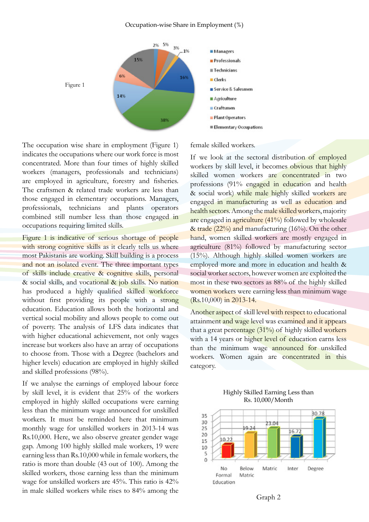

The occupation wise share in employment (Figure 1) indicates the occupations where our work force is most concentrated. More than four times of highly skilled workers (managers, professionals and technicians) are employed in agriculture, forestry and fisheries. The craftsmen & related trade workers are less than those engaged in elementary occupations. Managers, professionals, technicians and plants operators combined still number less than those engaged in occupations requiring limited skills.

Figure 1 is indicative of serious shortage of people with strong cognitive skills as it clearly tells us where most Pakistanis are working. Skill building is a process and not an isolated event. The three important types of skills include creative & cognitive skills, personal & social skills, and vocational & job skills. No nation has produced a highly qualified skilled workforce without first providing its people with a strong education. Education allows both the horizontal and vertical social mobility and allows people to come out of poverty. The analysis of LFS data indicates that with higher educational achievement, not only wages increase but workers also have an array of occupations to choose from. Those with a Degree (bachelors and higher levels) education are employed in highly skilled and skilled professions (98%).

If we analyse the earnings of employed labour force by skill level, it is evident that 25% of the workers employed in highly skilled occupations were earning less than the minimum wage announced for unskilled workers. It must be reminded here that minimum monthly wage for unskilled workers in 2013-14 was Rs.10,000. Here, we also observe greater gender wage gap. Among 100 highly skilled male workers, 19 were earning less than Rs.10,000 while in female workers, the ratio is more than double (43 out of 100). Among the skilled workers, those earning less than the minimum wage for unskilled workers are 45%. This ratio is 42% in male skilled workers while rises to 84% among the

## female skilled workers.

If we look at the sectoral distribution of employed workers by skill level, it becomes obvious that highly skilled women workers are concentrated in two professions (91% engaged in education and health & social work) while male highly skilled workers are engaged in manufacturing as well as education and health sectors. Among the male skilled workers, majority are engaged in agriculture (41%) followed by wholesale & trade  $(22\%)$  and manufacturing  $(16\%)$ . On the other hand, women skilled workers are mostly engaged in agriculture (81%) followed by manufacturing sector (15%). Although highly skilled women workers are employed more and more in education and health & social worker sectors, however women are exploited the most in these two sectors as 88% of the highly skilled women workers were earning less than minimum wage (Rs.10,000) in 2013-14.

Another aspect of skill level with respect to educational attainment and wage level was examined and it appears that a great percentage (31%) of highly skilled workers with a 14 years or higher level of education earns less than the minimum wage announced for unskilled workers. Women again are concentrated in this category.